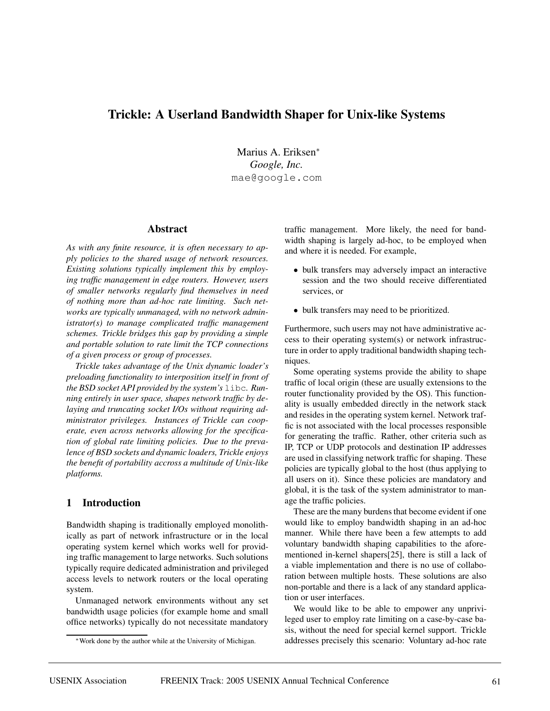# **Trickle: A Userland Bandwidth Shaper for Unix-like Systems**

Marius A. Eriksen<sup>∗</sup> *Google, Inc.* mae@google.com

#### **Abstract**

*As with any finite resource, it is often necessary to apply policies to the shared usage of network resources. Existing solutions typically implement this by employing traffic management in edge routers. However, users of smaller networks regularly find themselves in need of nothing more than ad-hoc rate limiting. Such networks are typically unmanaged, with no network administrator(s) to manage complicated traffic management schemes. Trickle bridges this gap by providing a simple and portable solution to rate limit the TCP connections of a given process or group of processes.*

*Trickle takes advantage of the Unix dynamic loader's preloading functionality to interposition itself in front of the BSD socket API provided by the system's* libc*. Running entirely in user space, shapes network traffic by delaying and truncating socket I/Os without requiring administrator privileges. Instances of Trickle can cooperate, even across networks allowing for the specification of global rate limiting policies. Due to the prevalence of BSD sockets and dynamic loaders, Trickle enjoys the benefit of portability accross a multitude of Unix-like platforms.*

# **1 Introduction**

Bandwidth shaping is traditionally employed monolithically as part of network infrastructure or in the local operating system kernel which works well for providing traffic management to large networks. Such solutions typically require dedicated administration and privileged access levels to network routers or the local operating system.

Unmanaged network environments without any set bandwidth usage policies (for example home and small office networks) typically do not necessitate mandatory

traffic management. More likely, the need for bandwidth shaping is largely ad-hoc, to be employed when and where it is needed. For example,

- bulk transfers may adversely impact an interactive session and the two should receive differentiated services, or
- bulk transfers may need to be prioritized.

Furthermore, such users may not have administrative access to their operating system(s) or network infrastructure in order to apply traditional bandwidth shaping techniques.

Some operating systems provide the ability to shape traffic of local origin (these are usually extensions to the router functionality provided by the OS). This functionality is usually embedded directly in the network stack and resides in the operating system kernel. Network traffic is not associated with the local processes responsible for generating the traffic. Rather, other criteria such as IP, TCP or UDP protocols and destination IP addresses are used in classifying network traffic for shaping. These policies are typically global to the host (thus applying to all users on it). Since these policies are mandatory and global, it is the task of the system administrator to manage the traffic policies.

These are the many burdens that become evident if one would like to employ bandwidth shaping in an ad-hoc manner. While there have been a few attempts to add voluntary bandwidth shaping capabilities to the aforementioned in-kernel shapers[25], there is still a lack of a viable implementation and there is no use of collaboration between multiple hosts. These solutions are also non-portable and there is a lack of any standard application or user interfaces.

We would like to be able to empower any unprivileged user to employ rate limiting on a case-by-case basis, without the need for special kernel support. Trickle addresses precisely this scenario: Voluntary ad-hoc rate

<sup>∗</sup>Work done by the author while at the University of Michigan.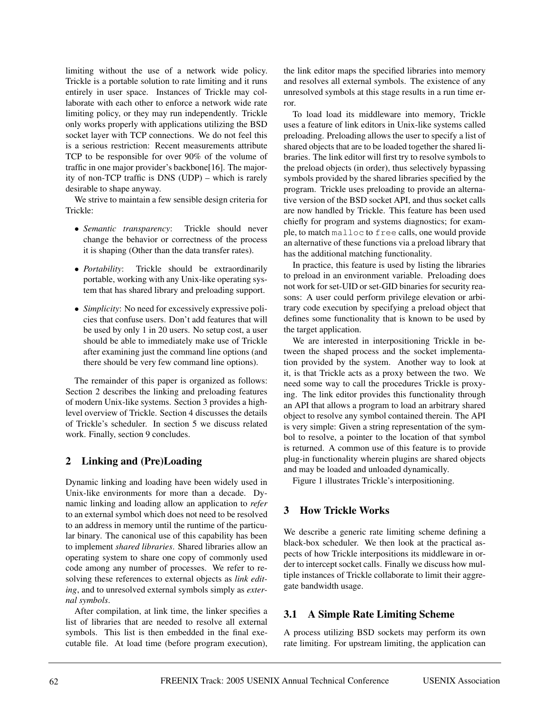limiting without the use of a network wide policy. Trickle is a portable solution to rate limiting and it runs entirely in user space. Instances of Trickle may collaborate with each other to enforce a network wide rate limiting policy, or they may run independently. Trickle only works properly with applications utilizing the BSD socket layer with TCP connections. We do not feel this is a serious restriction: Recent measurements attribute TCP to be responsible for over 90% of the volume of traffic in one major provider's backbone[16]. The majority of non-TCP traffic is DNS (UDP) – which is rarely desirable to shape anyway.

We strive to maintain a few sensible design criteria for Trickle:

- *Semantic transparency*: Trickle should never change the behavior or correctness of the process it is shaping (Other than the data transfer rates).
- *Portability*: Trickle should be extraordinarily portable, working with any Unix-like operating system that has shared library and preloading support.
- *Simplicity*: No need for excessively expressive policies that confuse users. Don't add features that will be used by only 1 in 20 users. No setup cost, a user should be able to immediately make use of Trickle after examining just the command line options (and there should be very few command line options).

The remainder of this paper is organized as follows: Section 2 describes the linking and preloading features of modern Unix-like systems. Section 3 provides a highlevel overview of Trickle. Section 4 discusses the details of Trickle's scheduler. In section 5 we discuss related work. Finally, section 9 concludes.

# **2 Linking and (Pre)Loading**

Dynamic linking and loading have been widely used in Unix-like environments for more than a decade. Dynamic linking and loading allow an application to *refer* to an external symbol which does not need to be resolved to an address in memory until the runtime of the particular binary. The canonical use of this capability has been to implement *shared libraries*. Shared libraries allow an operating system to share one copy of commonly used code among any number of processes. We refer to resolving these references to external objects as *link editing*, and to unresolved external symbols simply as *external symbols*.

After compilation, at link time, the linker specifies a list of libraries that are needed to resolve all external symbols. This list is then embedded in the final executable file. At load time (before program execution),

the link editor maps the specified libraries into memory and resolves all external symbols. The existence of any unresolved symbols at this stage results in a run time error.

To load load its middleware into memory, Trickle uses a feature of link editors in Unix-like systems called preloading. Preloading allows the user to specify a list of shared objects that are to be loaded together the shared libraries. The link editor will first try to resolve symbols to the preload objects (in order), thus selectively bypassing symbols provided by the shared libraries specified by the program. Trickle uses preloading to provide an alternative version of the BSD socket API, and thus socket calls are now handled by Trickle. This feature has been used chiefly for program and systems diagnostics; for example, to match malloc to free calls, one would provide an alternative of these functions via a preload library that has the additional matching functionality.

In practice, this feature is used by listing the libraries to preload in an environment variable. Preloading does not work for set-UID or set-GID binaries for security reasons: A user could perform privilege elevation or arbitrary code execution by specifying a preload object that defines some functionality that is known to be used by the target application.

We are interested in interpositioning Trickle in between the shaped process and the socket implementation provided by the system. Another way to look at it, is that Trickle acts as a proxy between the two. We need some way to call the procedures Trickle is proxying. The link editor provides this functionality through an API that allows a program to load an arbitrary shared object to resolve any symbol contained therein. The API is very simple: Given a string representation of the symbol to resolve, a pointer to the location of that symbol is returned. A common use of this feature is to provide plug-in functionality wherein plugins are shared objects and may be loaded and unloaded dynamically.

Figure 1 illustrates Trickle's interpositioning.

# **3 How Trickle Works**

We describe a generic rate limiting scheme defining a black-box scheduler. We then look at the practical aspects of how Trickle interpositions its middleware in order to intercept socket calls. Finally we discuss how multiple instances of Trickle collaborate to limit their aggregate bandwidth usage.

# **3.1 A Simple Rate Limiting Scheme**

A process utilizing BSD sockets may perform its own rate limiting. For upstream limiting, the application can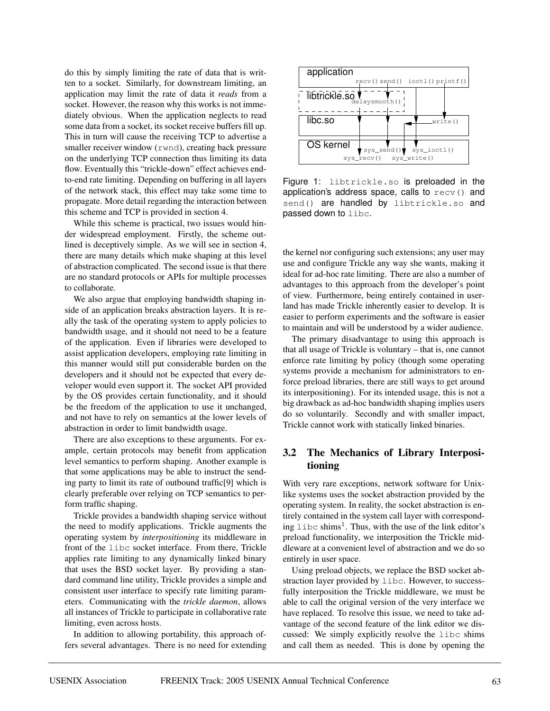do this by simply limiting the rate of data that is written to a socket. Similarly, for downstream limiting, an application may limit the rate of data it *reads* from a socket. However, the reason why this works is not immediately obvious. When the application neglects to read some data from a socket, its socket receive buffers fill up. This in turn will cause the receiving TCP to advertise a smaller receiver window (rwnd), creating back pressure on the underlying TCP connection thus limiting its data flow. Eventually this "trickle-down" effect achieves endto-end rate limiting. Depending on buffering in all layers of the network stack, this effect may take some time to propagate. More detail regarding the interaction between this scheme and TCP is provided in section 4.

While this scheme is practical, two issues would hinder widespread employment. Firstly, the scheme outlined is deceptively simple. As we will see in section 4, there are many details which make shaping at this level of abstraction complicated. The second issue is that there are no standard protocols or APIs for multiple processes to collaborate.

We also argue that employing bandwidth shaping inside of an application breaks abstraction layers. It is really the task of the operating system to apply policies to bandwidth usage, and it should not need to be a feature of the application. Even if libraries were developed to assist application developers, employing rate limiting in this manner would still put considerable burden on the developers and it should not be expected that every developer would even support it. The socket API provided by the OS provides certain functionality, and it should be the freedom of the application to use it unchanged, and not have to rely on semantics at the lower levels of abstraction in order to limit bandwidth usage.

There are also exceptions to these arguments. For example, certain protocols may benefit from application level semantics to perform shaping. Another example is that some applications may be able to instruct the sending party to limit its rate of outbound traffic[9] which is clearly preferable over relying on TCP semantics to perform traffic shaping.

Trickle provides a bandwidth shaping service without the need to modify applications. Trickle augments the operating system by *interpositioning* its middleware in front of the libc socket interface. From there, Trickle applies rate limiting to any dynamically linked binary that uses the BSD socket layer. By providing a standard command line utility, Trickle provides a simple and consistent user interface to specify rate limiting parameters. Communicating with the *trickle daemon*, allows all instances of Trickle to participate in collaborative rate limiting, even across hosts.

In addition to allowing portability, this approach offers several advantages. There is no need for extending



Figure 1: libtrickle.so is preloaded in the application's address space, calls to recv() and send() are handled by libtrickle.so and passed down to libc.

the kernel nor configuring such extensions; any user may use and configure Trickle any way she wants, making it ideal for ad-hoc rate limiting. There are also a number of advantages to this approach from the developer's point of view. Furthermore, being entirely contained in userland has made Trickle inherently easier to develop. It is easier to perform experiments and the software is easier to maintain and will be understood by a wider audience.

The primary disadvantage to using this approach is that all usage of Trickle is voluntary – that is, one cannot enforce rate limiting by policy (though some operating systems provide a mechanism for administrators to enforce preload libraries, there are still ways to get around its interpositioning). For its intended usage, this is not a big drawback as ad-hoc bandwidth shaping implies users do so voluntarily. Secondly and with smaller impact, Trickle cannot work with statically linked binaries.

# **3.2 The Mechanics of Library Interpositioning**

With very rare exceptions, network software for Unixlike systems uses the socket abstraction provided by the operating system. In reality, the socket abstraction is entirely contained in the system call layer with corresponding  $\text{libc shims}^1$ . Thus, with the use of the link editor's preload functionality, we interposition the Trickle middleware at a convenient level of abstraction and we do so entirely in user space.

Using preload objects, we replace the BSD socket abstraction layer provided by libc. However, to successfully interposition the Trickle middleware, we must be able to call the original version of the very interface we have replaced. To resolve this issue, we need to take advantage of the second feature of the link editor we discussed: We simply explicitly resolve the libc shims and call them as needed. This is done by opening the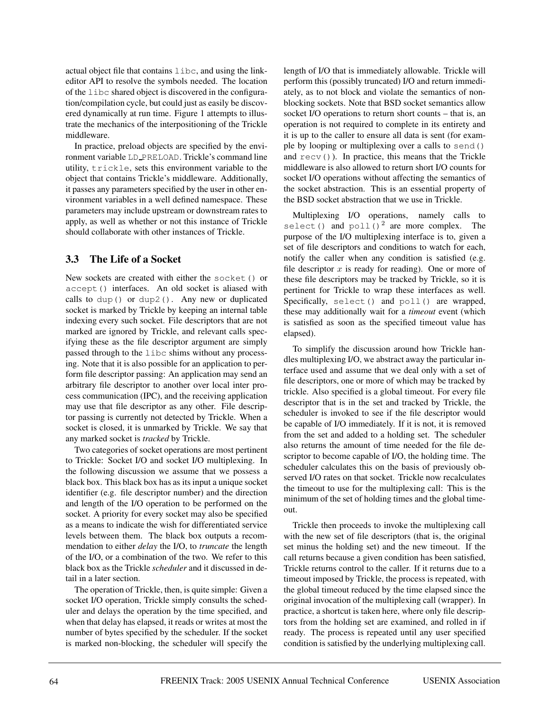actual object file that contains libc, and using the linkeditor API to resolve the symbols needed. The location of the libc shared object is discovered in the configuration/compilation cycle, but could just as easily be discovered dynamically at run time. Figure 1 attempts to illustrate the mechanics of the interpositioning of the Trickle middleware.

In practice, preload objects are specified by the environment variable LD PRELOAD. Trickle's command line utility, trickle, sets this environment variable to the object that contains Trickle's middleware. Additionally, it passes any parameters specified by the user in other environment variables in a well defined namespace. These parameters may include upstream or downstream rates to apply, as well as whether or not this instance of Trickle should collaborate with other instances of Trickle.

# **3.3 The Life of a Socket**

New sockets are created with either the socket() or accept() interfaces. An old socket is aliased with calls to dup() or dup2(). Any new or duplicated socket is marked by Trickle by keeping an internal table indexing every such socket. File descriptors that are not marked are ignored by Trickle, and relevant calls specifying these as the file descriptor argument are simply passed through to the libc shims without any processing. Note that it is also possible for an application to perform file descriptor passing: An application may send an arbitrary file descriptor to another over local inter process communication (IPC), and the receiving application may use that file descriptor as any other. File descriptor passing is currently not detected by Trickle. When a socket is closed, it is unmarked by Trickle. We say that any marked socket is *tracked* by Trickle.

Two categories of socket operations are most pertinent to Trickle: Socket I/O and socket I/O multiplexing. In the following discussion we assume that we possess a black box. This black box has as its input a unique socket identifier (e.g. file descriptor number) and the direction and length of the I/O operation to be performed on the socket. A priority for every socket may also be specified as a means to indicate the wish for differentiated service levels between them. The black box outputs a recommendation to either *delay* the I/O, to *truncate* the length of the I/O, or a combination of the two. We refer to this black box as the Trickle *scheduler* and it discussed in detail in a later section.

The operation of Trickle, then, is quite simple: Given a socket I/O operation, Trickle simply consults the scheduler and delays the operation by the time specified, and when that delay has elapsed, it reads or writes at most the number of bytes specified by the scheduler. If the socket is marked non-blocking, the scheduler will specify the

length of I/O that is immediately allowable. Trickle will perform this (possibly truncated) I/O and return immediately, as to not block and violate the semantics of nonblocking sockets. Note that BSD socket semantics allow socket I/O operations to return short counts – that is, an operation is not required to complete in its entirety and it is up to the caller to ensure all data is sent (for example by looping or multiplexing over a calls to send() and  $\text{recv}($ ). In practice, this means that the Trickle middleware is also allowed to return short I/O counts for socket I/O operations without affecting the semantics of the socket abstraction. This is an essential property of the BSD socket abstraction that we use in Trickle.

Multiplexing I/O operations, namely calls to select() and  $\text{pol}(1)^2$  are more complex. The purpose of the I/O multiplexing interface is to, given a set of file descriptors and conditions to watch for each, notify the caller when any condition is satisfied (e.g. file descriptor  $x$  is ready for reading). One or more of these file descriptors may be tracked by Trickle, so it is pertinent for Trickle to wrap these interfaces as well. Specifically, select() and poll() are wrapped, these may additionally wait for a *timeout* event (which is satisfied as soon as the specified timeout value has elapsed).

To simplify the discussion around how Trickle handles multiplexing I/O, we abstract away the particular interface used and assume that we deal only with a set of file descriptors, one or more of which may be tracked by trickle. Also specified is a global timeout. For every file descriptor that is in the set and tracked by Trickle, the scheduler is invoked to see if the file descriptor would be capable of I/O immediately. If it is not, it is removed from the set and added to a holding set. The scheduler also returns the amount of time needed for the file descriptor to become capable of I/O, the holding time. The scheduler calculates this on the basis of previously observed I/O rates on that socket. Trickle now recalculates the timeout to use for the multiplexing call: This is the minimum of the set of holding times and the global timeout.

Trickle then proceeds to invoke the multiplexing call with the new set of file descriptors (that is, the original set minus the holding set) and the new timeout. If the call returns because a given condition has been satisfied, Trickle returns control to the caller. If it returns due to a timeout imposed by Trickle, the process is repeated, with the global timeout reduced by the time elapsed since the original invocation of the multiplexing call (wrapper). In practice, a shortcut is taken here, where only file descriptors from the holding set are examined, and rolled in if ready. The process is repeated until any user specified condition is satisfied by the underlying multiplexing call.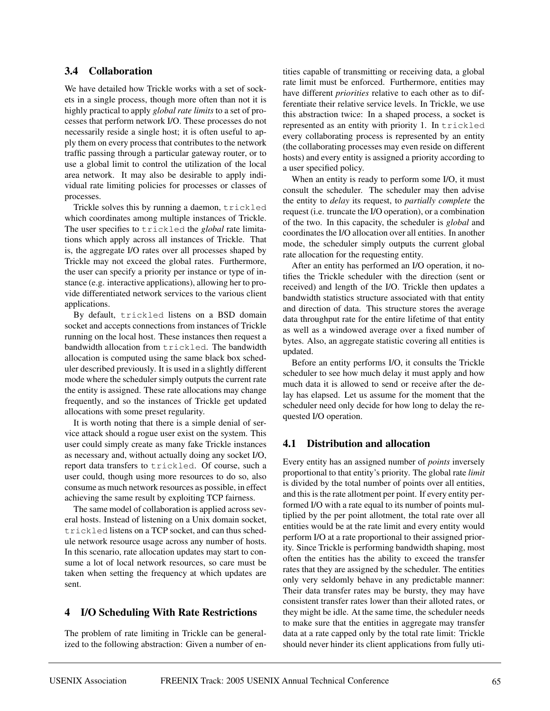### **3.4 Collaboration**

We have detailed how Trickle works with a set of sockets in a single process, though more often than not it is highly practical to apply *global rate limits* to a set of processes that perform network I/O. These processes do not necessarily reside a single host; it is often useful to apply them on every process that contributes to the network traffic passing through a particular gateway router, or to use a global limit to control the utilization of the local area network. It may also be desirable to apply individual rate limiting policies for processes or classes of processes.

Trickle solves this by running a daemon, trickled which coordinates among multiple instances of Trickle. The user specifies to trickled the *global* rate limitations which apply across all instances of Trickle. That is, the aggregate I/O rates over all processes shaped by Trickle may not exceed the global rates. Furthermore, the user can specify a priority per instance or type of instance (e.g. interactive applications), allowing her to provide differentiated network services to the various client applications.

By default, trickled listens on a BSD domain socket and accepts connections from instances of Trickle running on the local host. These instances then request a bandwidth allocation from trickled. The bandwidth allocation is computed using the same black box scheduler described previously. It is used in a slightly different mode where the scheduler simply outputs the current rate the entity is assigned. These rate allocations may change frequently, and so the instances of Trickle get updated allocations with some preset regularity.

It is worth noting that there is a simple denial of service attack should a rogue user exist on the system. This user could simply create as many fake Trickle instances as necessary and, without actually doing any socket I/O, report data transfers to trickled. Of course, such a user could, though using more resources to do so, also consume as much network resources as possible, in effect achieving the same result by exploiting TCP fairness.

The same model of collaboration is applied across several hosts. Instead of listening on a Unix domain socket, trickled listens on a TCP socket, and can thus schedule network resource usage across any number of hosts. In this scenario, rate allocation updates may start to consume a lot of local network resources, so care must be taken when setting the frequency at which updates are sent.

# **4 I/O Scheduling With Rate Restrictions**

The problem of rate limiting in Trickle can be generalized to the following abstraction: Given a number of entities capable of transmitting or receiving data, a global rate limit must be enforced. Furthermore, entities may have different *priorities* relative to each other as to differentiate their relative service levels. In Trickle, we use this abstraction twice: In a shaped process, a socket is represented as an entity with priority 1. In trickled every collaborating process is represented by an entity (the collaborating processes may even reside on different hosts) and every entity is assigned a priority according to a user specified policy.

When an entity is ready to perform some I/O, it must consult the scheduler. The scheduler may then advise the entity to *delay* its request, to *partially complete* the request (i.e. truncate the I/O operation), or a combination of the two. In this capacity, the scheduler is *global* and coordinates the I/O allocation over all entities. In another mode, the scheduler simply outputs the current global rate allocation for the requesting entity.

After an entity has performed an I/O operation, it notifies the Trickle scheduler with the direction (sent or received) and length of the I/O. Trickle then updates a bandwidth statistics structure associated with that entity and direction of data. This structure stores the average data throughput rate for the entire lifetime of that entity as well as a windowed average over a fixed number of bytes. Also, an aggregate statistic covering all entities is updated.

Before an entity performs I/O, it consults the Trickle scheduler to see how much delay it must apply and how much data it is allowed to send or receive after the delay has elapsed. Let us assume for the moment that the scheduler need only decide for how long to delay the requested I/O operation.

### **4.1 Distribution and allocation**

Every entity has an assigned number of *points* inversely proportional to that entity's priority. The global rate *limit* is divided by the total number of points over all entities, and this is the rate allotment per point. If every entity performed I/O with a rate equal to its number of points multiplied by the per point allotment, the total rate over all entities would be at the rate limit and every entity would perform I/O at a rate proportional to their assigned priority. Since Trickle is performing bandwidth shaping, most often the entities has the ability to exceed the transfer rates that they are assigned by the scheduler. The entities only very seldomly behave in any predictable manner: Their data transfer rates may be bursty, they may have consistent transfer rates lower than their alloted rates, or they might be idle. At the same time, the scheduler needs to make sure that the entities in aggregate may transfer data at a rate capped only by the total rate limit: Trickle should never hinder its client applications from fully uti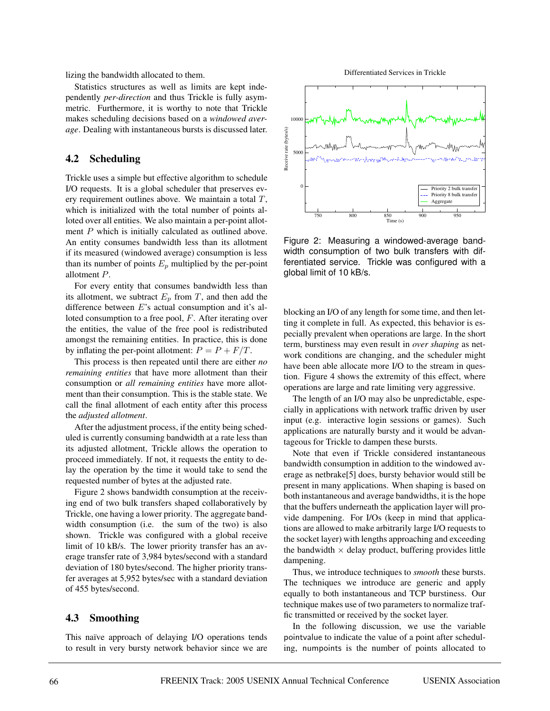lizing the bandwidth allocated to them.

Statistics structures as well as limits are kept independently *per-direction* and thus Trickle is fully asymmetric. Furthermore, it is worthy to note that Trickle makes scheduling decisions based on a *windowed average*. Dealing with instantaneous bursts is discussed later.

#### **4.2 Scheduling**

Trickle uses a simple but effective algorithm to schedule I/O requests. It is a global scheduler that preserves every requirement outlines above. We maintain a total  $T$ , which is initialized with the total number of points alloted over all entities. We also maintain a per-point allotment  $P$  which is initially calculated as outlined above. An entity consumes bandwidth less than its allotment if its measured (windowed average) consumption is less than its number of points  $E_p$  multiplied by the per-point allotment P.

For every entity that consumes bandwidth less than its allotment, we subtract  $E_p$  from T, and then add the difference between E's actual consumption and it's alloted consumption to a free pool, F. After iterating over the entities, the value of the free pool is redistributed amongst the remaining entities. In practice, this is done by inflating the per-point allotment:  $P = P + F/T$ .

This process is then repeated until there are either *no remaining entities* that have more allotment than their consumption or *all remaining entities* have more allotment than their consumption. This is the stable state. We call the final allotment of each entity after this process the *adjusted allotment*.

After the adjustment process, if the entity being scheduled is currently consuming bandwidth at a rate less than its adjusted allotment, Trickle allows the operation to proceed immediately. If not, it requests the entity to delay the operation by the time it would take to send the requested number of bytes at the adjusted rate.

Figure 2 shows bandwidth consumption at the receiving end of two bulk transfers shaped collaboratively by Trickle, one having a lower priority. The aggregate bandwidth consumption (i.e. the sum of the two) is also shown. Trickle was configured with a global receive limit of 10 kB/s. The lower priority transfer has an average transfer rate of 3,984 bytes/second with a standard deviation of 180 bytes/second. The higher priority transfer averages at 5,952 bytes/sec with a standard deviation of 455 bytes/second.

#### **4.3 Smoothing**

This naïve approach of delaying I/O operations tends to result in very bursty network behavior since we are

Differentiated Services in Trickle



Figure 2: Measuring a windowed-average bandwidth consumption of two bulk transfers with differentiated service. Trickle was configured with a global limit of 10 kB/s.

blocking an I/O of any length for some time, and then letting it complete in full. As expected, this behavior is especially prevalent when operations are large. In the short term, burstiness may even result in *over shaping* as network conditions are changing, and the scheduler might have been able allocate more I/O to the stream in question. Figure 4 shows the extremity of this effect, where operations are large and rate limiting very aggressive.

The length of an I/O may also be unpredictable, especially in applications with network traffic driven by user input (e.g. interactive login sessions or games). Such applications are naturally bursty and it would be advantageous for Trickle to dampen these bursts.

Note that even if Trickle considered instantaneous bandwidth consumption in addition to the windowed average as netbrake[5] does, bursty behavior would still be present in many applications. When shaping is based on both instantaneous and average bandwidths, it is the hope that the buffers underneath the application layer will provide dampening. For I/Os (keep in mind that applications are allowed to make arbitrarily large I/O requests to the socket layer) with lengths approaching and exceeding the bandwidth  $\times$  delay product, buffering provides little dampening.

Thus, we introduce techniques to *smooth* these bursts. The techniques we introduce are generic and apply equally to both instantaneous and TCP burstiness. Our technique makes use of two parameters to normalize traffic transmitted or received by the socket layer.

In the following discussion, we use the variable pointvalue to indicate the value of a point after scheduling, numpoints is the number of points allocated to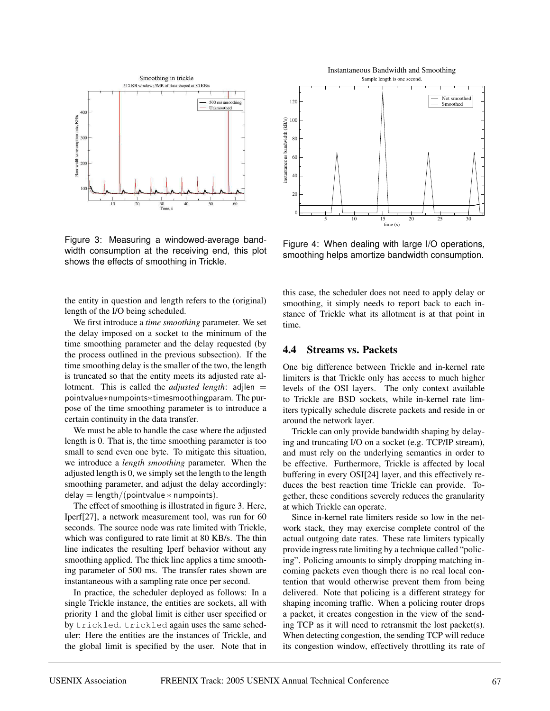

Figure 3: Measuring a windowed-average bandwidth consumption at the receiving end, this plot shows the effects of smoothing in Trickle.

Not smoothed 120 Smoothed instantaneous bandwidth (kB/s) 100 instantaneous bandwidth (kB/s) 80 60 40 20  $\overline{0}$ 5 10 15 20 25 30  $time(s)$ 

Instantaneous Bandwidth and Smoothing Sample length is one second.

Figure 4: When dealing with large I/O operations, smoothing helps amortize bandwidth consumption.

the entity in question and length refers to the (original) length of the I/O being scheduled.

We first introduce a *time smoothing* parameter. We set the delay imposed on a socket to the minimum of the time smoothing parameter and the delay requested (by the process outlined in the previous subsection). If the time smoothing delay is the smaller of the two, the length is truncated so that the entity meets its adjusted rate allotment. This is called the *adjusted length*: adjlen = pointvalue∗numpoints∗timesmoothingparam. The purpose of the time smoothing parameter is to introduce a certain continuity in the data transfer.

We must be able to handle the case where the adjusted length is 0. That is, the time smoothing parameter is too small to send even one byte. To mitigate this situation, we introduce a *length smoothing* parameter. When the adjusted length is 0, we simply set the length to the length smoothing parameter, and adjust the delay accordingly:  $delay = length/(point value * numbers)$ .

The effect of smoothing is illustrated in figure 3. Here, Iperf[27], a network measurement tool, was run for 60 seconds. The source node was rate limited with Trickle, which was configured to rate limit at 80 KB/s. The thin line indicates the resulting Iperf behavior without any smoothing applied. The thick line applies a time smoothing parameter of 500 ms. The transfer rates shown are instantaneous with a sampling rate once per second.

In practice, the scheduler deployed as follows: In a single Trickle instance, the entities are sockets, all with priority 1 and the global limit is either user specified or by trickled. trickled again uses the same scheduler: Here the entities are the instances of Trickle, and the global limit is specified by the user. Note that in this case, the scheduler does not need to apply delay or smoothing, it simply needs to report back to each instance of Trickle what its allotment is at that point in time.

# **4.4 Streams vs. Packets**

One big difference between Trickle and in-kernel rate limiters is that Trickle only has access to much higher levels of the OSI layers. The only context available to Trickle are BSD sockets, while in-kernel rate limiters typically schedule discrete packets and reside in or around the network layer.

Trickle can only provide bandwidth shaping by delaying and truncating I/O on a socket (e.g. TCP/IP stream), and must rely on the underlying semantics in order to be effective. Furthermore, Trickle is affected by local buffering in every OSI[24] layer, and this effectively reduces the best reaction time Trickle can provide. Together, these conditions severely reduces the granularity at which Trickle can operate.

Since in-kernel rate limiters reside so low in the network stack, they may exercise complete control of the actual outgoing date rates. These rate limiters typically provide ingress rate limiting by a technique called "policing". Policing amounts to simply dropping matching incoming packets even though there is no real local contention that would otherwise prevent them from being delivered. Note that policing is a different strategy for shaping incoming traffic. When a policing router drops a packet, it creates congestion in the view of the sending TCP as it will need to retransmit the lost packet(s). When detecting congestion, the sending TCP will reduce its congestion window, effectively throttling its rate of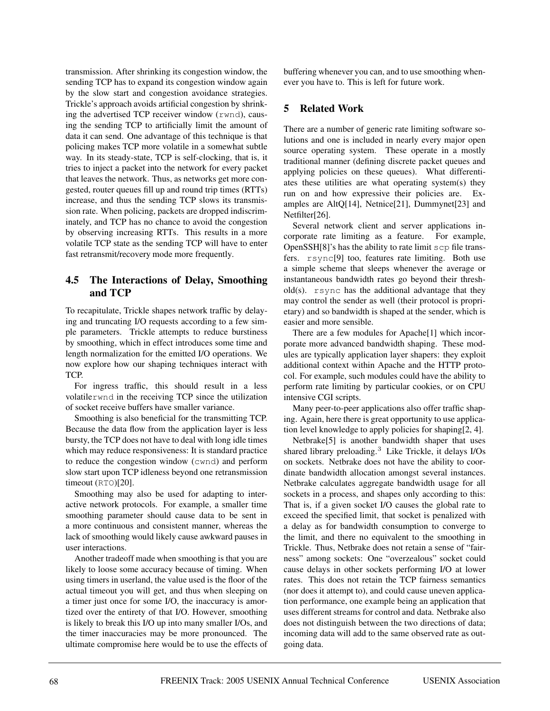transmission. After shrinking its congestion window, the sending TCP has to expand its congestion window again by the slow start and congestion avoidance strategies. Trickle's approach avoids artificial congestion by shrinking the advertised TCP receiver window (rwnd), causing the sending TCP to artificially limit the amount of data it can send. One advantage of this technique is that policing makes TCP more volatile in a somewhat subtle way. In its steady-state, TCP is self-clocking, that is, it tries to inject a packet into the network for every packet that leaves the network. Thus, as networks get more congested, router queues fill up and round trip times (RTTs) increase, and thus the sending TCP slows its transmission rate. When policing, packets are dropped indiscriminately, and TCP has no chance to avoid the congestion by observing increasing RTTs. This results in a more volatile TCP state as the sending TCP will have to enter fast retransmit/recovery mode more frequently.

# **4.5 The Interactions of Delay, Smoothing and TCP**

To recapitulate, Trickle shapes network traffic by delaying and truncating I/O requests according to a few simple parameters. Trickle attempts to reduce burstiness by smoothing, which in effect introduces some time and length normalization for the emitted I/O operations. We now explore how our shaping techniques interact with TCP.

For ingress traffic, this should result in a less volatilerwnd in the receiving TCP since the utilization of socket receive buffers have smaller variance.

Smoothing is also beneficial for the transmitting TCP. Because the data flow from the application layer is less bursty, the TCP does not have to deal with long idle times which may reduce responsiveness: It is standard practice to reduce the congestion window (cwnd) and perform slow start upon TCP idleness beyond one retransmission timeout (RTO)[20].

Smoothing may also be used for adapting to interactive network protocols. For example, a smaller time smoothing parameter should cause data to be sent in a more continuous and consistent manner, whereas the lack of smoothing would likely cause awkward pauses in user interactions.

Another tradeoff made when smoothing is that you are likely to loose some accuracy because of timing. When using timers in userland, the value used is the floor of the actual timeout you will get, and thus when sleeping on a timer just once for some I/O, the inaccuracy is amortized over the entirety of that I/O. However, smoothing is likely to break this I/O up into many smaller I/Os, and the timer inaccuracies may be more pronounced. The ultimate compromise here would be to use the effects of

buffering whenever you can, and to use smoothing whenever you have to. This is left for future work.

# **5 Related Work**

There are a number of generic rate limiting software solutions and one is included in nearly every major open source operating system. These operate in a mostly traditional manner (defining discrete packet queues and applying policies on these queues). What differentiates these utilities are what operating system(s) they run on and how expressive their policies are. Examples are AltQ[14], Netnice[21], Dummynet[23] and Netfilter[26].

Several network client and server applications incorporate rate limiting as a feature. For example, OpenSSH[8]'s has the ability to rate limit scp file transfers. rsync[9] too, features rate limiting. Both use a simple scheme that sleeps whenever the average or instantaneous bandwidth rates go beyond their thresh $old(s)$ . rsync has the additional advantage that they may control the sender as well (their protocol is proprietary) and so bandwidth is shaped at the sender, which is easier and more sensible.

There are a few modules for Apache[1] which incorporate more advanced bandwidth shaping. These modules are typically application layer shapers: they exploit additional context within Apache and the HTTP protocol. For example, such modules could have the ability to perform rate limiting by particular cookies, or on CPU intensive CGI scripts.

Many peer-to-peer applications also offer traffic shaping. Again, here there is great opportunity to use application level knowledge to apply policies for shaping[2, 4].

Netbrake[5] is another bandwidth shaper that uses shared library preloading.<sup>3</sup> Like Trickle, it delays  $I/Os$ on sockets. Netbrake does not have the ability to coordinate bandwidth allocation amongst several instances. Netbrake calculates aggregate bandwidth usage for all sockets in a process, and shapes only according to this: That is, if a given socket I/O causes the global rate to exceed the specified limit, that socket is penalized with a delay as for bandwidth consumption to converge to the limit, and there no equivalent to the smoothing in Trickle. Thus, Netbrake does not retain a sense of "fairness" among sockets: One "overzealous" socket could cause delays in other sockets performing I/O at lower rates. This does not retain the TCP fairness semantics (nor does it attempt to), and could cause uneven application performance, one example being an application that uses different streams for control and data. Netbrake also does not distinguish between the two directions of data; incoming data will add to the same observed rate as outgoing data.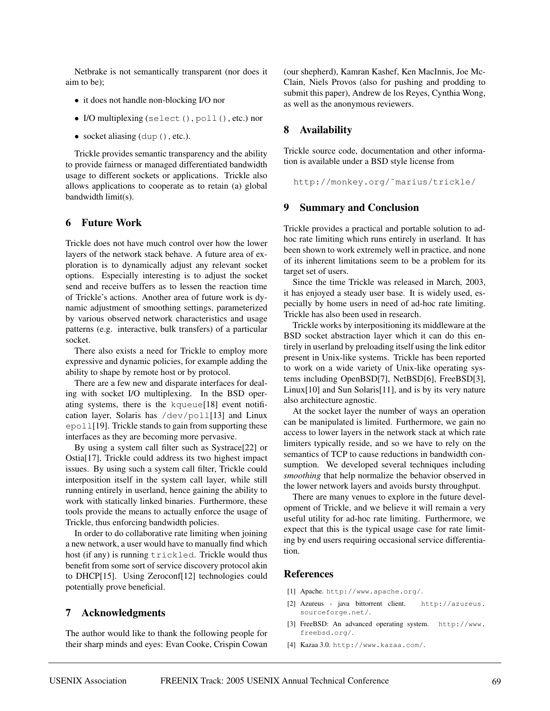Netbrake is not semantically transparent (nor does it aim to be);

- it does not handle non-blocking I/O nor
- I/O multiplexing (select(), poll(), etc.) nor
- socket aliasing (dup(), etc.).

Trickle provides semantic transparency and the ability to provide fairness or managed differentiated bandwidth usage to different sockets or applications. Trickle also allows applications to cooperate as to retain (a) global bandwidth limit(s).

### **6 Future Work**

Trickle does not have much control over how the lower layers of the network stack behave. A future area of exploration is to dynamically adjust any relevant socket options. Especially interesting is to adjust the socket send and receive buffers as to lessen the reaction time of Trickle's actions. Another area of future work is dynamic adjustment of smoothing settings, parameterized by various observed network characteristics and usage patterns (e.g. interactive, bulk transfers) of a particular socket.

There also exists a need for Trickle to employ more expressive and dynamic policies, for example adding the ability to shape by remote host or by protocol.

There are a few new and disparate interfaces for dealing with socket I/O multiplexing. In the BSD operating systems, there is the kqueue[18] event notification layer, Solaris has /dev/poll[13] and Linux epoll<sup>[19]</sup>. Trickle stands to gain from supporting these interfaces as they are becoming more pervasive.

By using a system call filter such as Systrace[22] or Ostia[17], Trickle could address its two highest impact issues. By using such a system call filter, Trickle could interposition itself in the system call layer, while still running entirely in userland, hence gaining the ability to work with statically linked binaries. Furthermore, these tools provide the means to actually enforce the usage of Trickle, thus enforcing bandwidth policies.

In order to do collaborative rate limiting when joining a new network, a user would have to manually find which host (if any) is running trickled. Trickle would thus benefit from some sort of service discovery protocol akin to DHCP[15]. Using Zeroconf[12] technologies could potentially prove beneficial.

#### **7 Acknowledgments**

The author would like to thank the following people for their sharp minds and eyes: Evan Cooke, Crispin Cowan

(our shepherd), Kamran Kashef, Ken MacInnis, Joe Mc-Clain, Niels Provos (also for pushing and prodding to submit this paper), Andrew de los Reyes, Cynthia Wong, as well as the anonymous reviewers.

#### **8 Availability**

Trickle source code, documentation and other information is available under a BSD style license from

```
http://monkey.org/˜marius/trickle/
```
#### **9 Summary and Conclusion**

Trickle provides a practical and portable solution to adhoc rate limiting which runs entirely in userland. It has been shown to work extremely well in practice, and none of its inherent limitations seem to be a problem for its target set of users.

Since the time Trickle was released in March, 2003, it has enjoyed a steady user base. It is widely used, especially by home users in need of ad-hoc rate limiting. Trickle has also been used in research.

Trickle works by interpositioning its middleware at the BSD socket abstraction layer which it can do this entirely in userland by preloading itself using the link editor present in Unix-like systems. Trickle has been reported to work on a wide variety of Unix-like operating systems including OpenBSD[7], NetBSD[6], FreeBSD[3], Linux[10] and Sun Solaris[11], and is by its very nature also architecture agnostic.

At the socket layer the number of ways an operation can be manipulated is limited. Furthermore, we gain no access to lower layers in the network stack at which rate limiters typically reside, and so we have to rely on the semantics of TCP to cause reductions in bandwidth consumption. We developed several techniques including *smoothing* that help normalize the behavior observed in the lower network layers and avoids bursty throughput.

There are many venues to explore in the future development of Trickle, and we believe it will remain a very useful utility for ad-hoc rate limiting. Furthermore, we expect that this is the typical usage case for rate limiting by end users requiring occasional service differentiation.

#### **References**

- [1] Apache. http://www.apache.org/.
- [2] Azureus java bittorrent client. http://azureus. sourceforge.net/.
- [3] FreeBSD: An advanced operating system. http://www. freebsd.org/.
- [4] Kazaa 3.0. http://www.kazaa.com/.